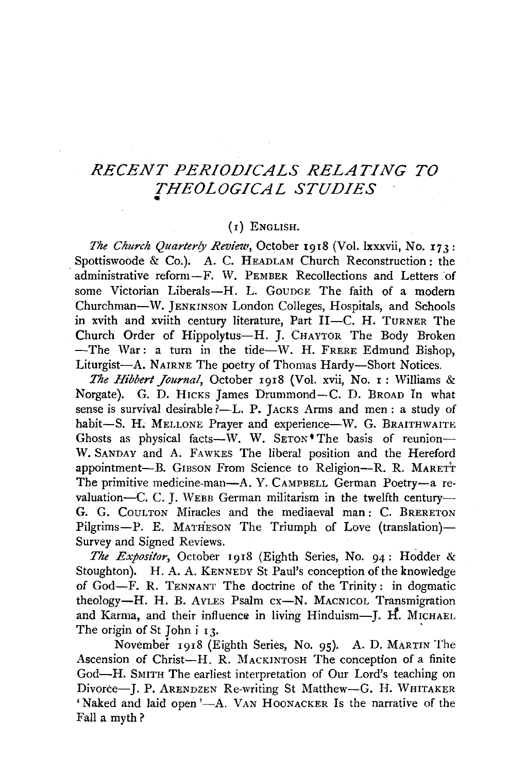## *RECENT PERIODICALS RELATING TO THEOLOGICAL STUDIES*  •

## (I) ENGLISH.

*The Church Quarterly Review,* October 1918 (Vol. lxxxvii, No. 173: Spottiswoode & Co.). A. C. HEADLAM Church Reconstruction: the administrative reform-F. W. PEMBER Recollections and Letters of some Victorian Liberals-H. L. GounGE The faith of a modern Churchman-W. JENKINSON London Colleges, Hospitals, and Schools in xvith and xviith century literature, Part II-C. H. TURNER The Church Order of Hippolytus-H. J. CHAYTOR The Body Broken -The War: a turn in the tide-W. H. FRERE Edmund Bishop, Liturgist-A. NAIRNE The poetry of Thomas Hardy-Short Notices.

*The Hibbert Journal*, October 1918 (Vol. xvii, No. 1: Williams & Norgate). G. D. HICKS James Drummond-C. D. BROAD In what sense is survival desirable ?-L. P. JACKS Arms and men: a study of habit-S. H. MELLONE Prayer and experience-W. G. BRAITHWAITE Ghosts as physical facts-W. W. SETON The basis of reunion-W. SANDAY and A. FAWKES The liberal position and the Hereford appointment-B. GIBSON From Science to Religion--R. R. MARETT The primitive medicine-man-A. Y. CAMPBELL German Poetry-a revaluation-C. C. J. WEBB German militarism in the twelfth century-G. G. CouLTON Miracles and the mediaeval man: C. BRERETON Pilgrims-P. E. MATHESON The Triumph of Love (translation)-Survey and Signed Reviews.

*The Expositor,* October 1918 (Eighth Series, No. 94: Hodder & Stoughton). H. A. A. KENNEDY St Paul's conception of the knowledge of God-F. R. TENNANT The doctrine of the Trinity: in dogmatic theology-H. H. B. AYLES Psalm cx-N. MACNICOL Transmigration and Karma, and their influence in living Hinduism. I He MICHAEL  $T_{\text{tot}}$   $T_{\text{tot}}$  and their innucles in thing  $T_{\text{tot}}$   $T_{\text{tot}}$   $T_{\text{tot}}$ The origin of St John i 13.<br>November 1918 (Eighth Series, No. 95). A. D. MARTIN The

Ascension of Christ-H. R. MACKINTOSH The conception of a finite God-H. SMITH The earliest interpretation of Our Lord's teaching on Divorce-J. P. ARENDZEN Re-writing St Matthew-G. H. WHITAKER 'Naked and laid open '-A. VAN HOONACKER Is the narrative of the Fall a myth?